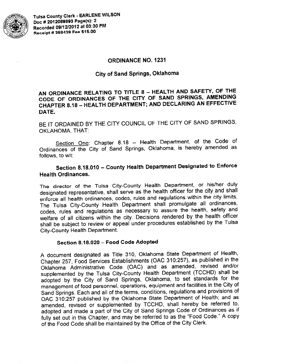

### **ORDINANCE NO. 1231**

### **City of Sand Springs, Oklahoma**

## AN ORDINANCE RELATING TO TITLE 8 - HEALTH AND SAFETY, OF THE CODE OF ORDINANCES OF THE CITY OF SAND SPRINGS, AMENDING CHAPTER 8.18 - HEALTH DEPARTMENT; AND DECLARING AN EFFECTIVE DATE.

BE IT ORDAINED BY THE CITY COUNCIL OF THE CITY OF SAND SPRINGS, OKLAHOMA, THAT:

Section One: Chapter 8.18 - Health Department, of the Code of Ordinances of the City of Sand Springs, Oklahoma, is hereby amended as follows, to wit:

# Section 8.18.010 - County Health Department Designated to Enforce **Health Ordinances.**

The director of the Tulsa City-County Health Department, or his/her duly designated representative, shall serve as the health officer for the city and shall enforce all health ordinances, codes, rules and regulations within the city limits. The Tulsa City-County Health Department shall promulgate all ordinances, codes, rules and regulations as necessary to assure the health, safety and welfare of all citizens within the city. Decisions rendered by the health officer shall be subject to review or appeal under procedures established by the Tulsa City-County Health Department.

### Section 8.18.020 - Food Code Adopted

A document designated as Title 310, Oklahoma State Department of Health, Chapter 257, Food Services Establishments (OAC 310:257), as published in the Oklahoma Administrative Code (OAC) and as amended, revised and/or supplemented by the Tulsa City-County Health Department (TCCHD) shall be adopted by the City of Sand Springs, Oklahoma, to set standards for the management of food personnel, operations, equipment and facilities in the City of Sand Springs. Each and all of the terms, conditions, regulations and provisions of OAC 310:257 published by the Oklahoma State Department of Health; and as amended, revised or supplemented by TCCHD, shall hereby be referred to, adopted and made a part of the City of Sand Springs Code of Ordinances as if fully set out in this Chapter, and may be referred to as the "Food Code." A copy of the Food Code shall be maintained by the Office of the City Clerk.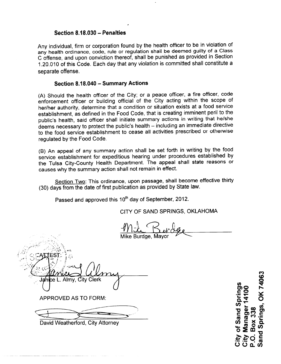### Section 8.18.030 - Penalties

Any individual, firm or corporation found by the health officer to be in violation of any health ordinance, code, rule or regulation shall be deemed guilty of a Class C offense, and upon conviction thereof, shall be punished as provided in Section 1.20.010 of this Code. Each day that any violation is committed shall constitute a separate offense.

#### Section 8.18.040 - Summary Actions

(A) Should the health officer of the City; or a peace officer, a fire officer, code enforcement officer or building official of the City acting within the scope of her/her authority, determine that a condition or situation exists at a food service establishment, as defined in the Food Code, that is creating imminent peril to the public's health, said officer shall initiate summary actions in writing that he/she deems necessary to protect the public's health - including an immediate directive to the food service establishment to cease all activities prescribed or otherwise requiated by the Food Code.

(B) An appeal of any summary action shall be set forth in writing by the food service establishment for expeditious hearing under procedures established by the Tulsa City-County Health Department. The appeal shall state reasons or causes why the summary action shall not remain in effect.

Section Two: This ordinance, upon passage, shall become effective thirty (30) days from the date of first publication as provided by State law.

Passed and approved this 10<sup>th</sup> day of September, 2012.

CITY OF SAND SPRINGS, OKLAHOMA

Mike Burdge, Mayo

ity Clerk

**APPROVED AS TO FORM:** 

David Weatherford, City Attorney

Springs, OK 74063 of Sand Spring Manager 1410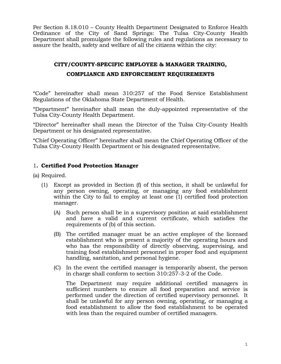Per Section 8.18.010 – County Health Department Designated to Enforce Health Ordinance of the City of Sand Springs: The Tulsa City-County Health Department shall promulgate the following rules and regulations as necessary to assure the health, safety and welfare of all the citizens within the city:

# **CITY/COUNTY-SPECIFIC EMPLOYEE & MANAGER TRAINING, COMPLIANCE AND ENFORCEMENT REQUIREMENTS**

"Code" hereinafter shall mean 310:257 of the Food Service Establishment Regulations of the Oklahoma State Department of Health.

"Department" hereinafter shall mean the duly-appointed representative of the Tulsa City-County Health Department.

"Director" hereinafter shall mean the Director of the Tulsa City-County Health Department or his designated representative.

"Chief Operating Officer" hereinafter shall mean the Chief Operating Officer of the Tulsa City-County Health Department or his designated representative.

## 1**. Certified Food Protection Manager**

(a) Required.

- (1) Except as provided in Section (f) of this section, it shall be unlawful for any person owning, operating, or managing any food establishment within the City to fail to employ at least one (1) certified food protection manager.
	- (A) Such person shall be in a supervisory position at said establishment and have a valid and current certificate, which satisfies the requirements of (b) of this section.
	- (B) The certified manager must be an active employee of the licensed establishment who is present a majority of the operating hours and who has the responsibility of directly observing, supervising, and training food establishment personnel in proper food and equipment handling, sanitation, and personal hygiene.
	- (C) In the event the certified manager is temporarily absent, the person in charge shall conform to section 310:257-3-2 of the Code.

 The Department may require additional certified managers in sufficient numbers to ensure all food preparation and service is performed under the direction of certified supervisory personnel. It shall be unlawful for any person owning, operating, or managing a food establishment to allow the food establishment to be operated with less than the required number of certified managers.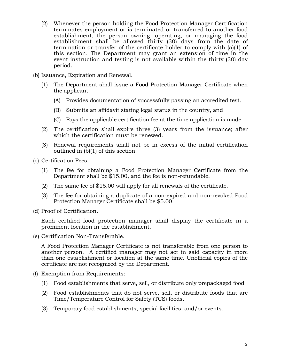- (2) Whenever the person holding the Food Protection Manager Certification terminates employment or is terminated or transferred to another food establishment, the person owning, operating, or managing the food establishment shall be allowed thirty (30) days from the date of termination or transfer of the certificate holder to comply with (a)(1) of this section. The Department may grant an extension of time in the event instruction and testing is not available within the thirty (30) day period.
- (b) Issuance, Expiration and Renewal.
	- (1) The Department shall issue a Food Protection Manager Certificate when the applicant:
		- (A) Provides documentation of successfully passing an accredited test.
		- (B) Submits an affidavit stating legal status in the country, and
		- (C) Pays the applicable certification fee at the time application is made.
	- (2) The certification shall expire three (3) years from the issuance; after which the certification must be renewed.
	- (3) Renewal requirements shall not be in excess of the initial certification outlined in (b)(1) of this section.
- (c) Certification Fees.
	- (1) The fee for obtaining a Food Protection Manager Certificate from the Department shall be \$15.00, and the fee is non-refundable.
	- (2) The same fee of \$15.00 will apply for all renewals of the certificate.
	- (3) The fee for obtaining a duplicate of a non-expired and non-revoked Food Protection Manager Certificate shall be \$5.00.
- (d) Proof of Certification.

 Each certified food protection manager shall display the certificate in a prominent location in the establishment.

(e) Certification Non-Transferable.

A Food Protection Manager Certificate is not transferable from one person to another person. A certified manager may not act in said capacity in more than one establishment or location at the same time. Unofficial copies of the certificate are not recognized by the Department.

- (f) Exemption from Requirements:
	- (1) Food establishments that serve, sell, or distribute only prepackaged food
	- (2) Food establishments that do not serve, sell, or distribute foods that are Time/Temperature Control for Safety (TCS) foods.
	- (3) Temporary food establishments, special facilities, and/or events.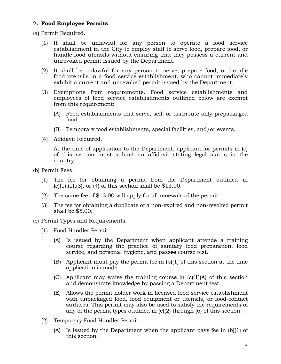### 2**. Food Employee Permits**

(a) Permit Required**.** 

- (1) It shall be unlawful for any person to operate a food service establishment in the City to employ staff to serve food, prepare food, or handle food utensils without ensuring that they possess a current and unrevoked permit issued by the Department.
- (2) It shall be unlawful for any person to serve, prepare food, or handle food utensils in a food service establishment, who cannot immediately exhibit a current and unrevoked permit issued by the Department.
- (3) Exemptions from requirements. Food service establishments and employees of food service establishments outlined below are exempt from this requirement:
	- (A) Food establishments that serve, sell, or distribute only prepackaged food.
	- (B) Temporary food establishments, special facilities, and/or events.
- (4) Affidavit Required.

 At the time of application to the Department, applicant for permits in (c) of this section must submit an affidavit stating legal status in the country.

- (b) Permit Fees.
	- (1) The fee for obtaining a permit from the Department outlined in  $(c)(1), (2), (3),$  or  $(4)$  of this section shall be \$13.00.
	- (2) The same fee of \$13.00 will apply for all renewals of the permit.
	- (3) The fee for obtaining a duplicate of a non-expired and non-revoked permit shall be \$5.00.
- (c) Permit Types and Requirements.
	- (1) Food Handler Permit:
		- (A) Is issued by the Department when applicant attends a training course regarding the practice of sanitary food preparation, food service, and personal hygiene, and passes course test.
		- (B) Applicant must pay the permit fee in  $(b)(1)$  of this section at the time application is made.
		- (C) Applicant may waive the training course in  $(c)(1)(A)$  of this section and demonstrate knowledge by passing a Department test.
		- (E) Allows the permit holder work in licensed food service establishment with unpackaged food, food equipment or utensils, or food-contact surfaces. This permit may also be used to satisfy the requirements of any of the permit types outlined in (c)(2) through (6) of this section.
	- (2) Temporary Food Handler Permit:
		- (A) Is issued by the Department when the applicant pays fee in (b)(1) of this section.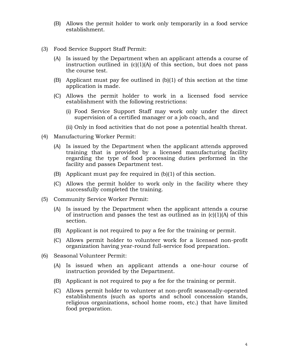- (B) Allows the permit holder to work only temporarily in a food service establishment.
- (3) Food Service Support Staff Permit:
	- (A) Is issued by the Department when an applicant attends a course of instruction outlined in  $(c)(1)(A)$  of this section, but does not pass the course test.
	- (B) Applicant must pay fee outlined in (b)(1) of this section at the time application is made.
	- (C) Allows the permit holder to work in a licensed food service establishment with the following restrictions:
		- (i) Food Service Support Staff may work only under the direct supervision of a certified manager or a job coach, and
		- (ii) Only in food activities that do not pose a potential health threat.
- (4) Manufacturing Worker Permit:
	- (A) Is issued by the Department when the applicant attends approved training that is provided by a licensed manufacturing facility regarding the type of food processing duties performed in the facility and passes Department test.
	- (B) Applicant must pay fee required in (b)(1) of this section.
	- (C) Allows the permit holder to work only in the facility where they successfully completed the training.
- (5) Community Service Worker Permit:
	- (A) Is issued by the Department when the applicant attends a course of instruction and passes the test as outlined as in  $(c)(1)(A)$  of this section.
	- (B) Applicant is not required to pay a fee for the training or permit.
	- (C) Allows permit holder to volunteer work for a licensed non-profit organization having year-round full-service food preparation.
- (6) Seasonal Volunteer Permit:
	- (A) Is issued when an applicant attends a one-hour course of instruction provided by the Department.
	- (B) Applicant is not required to pay a fee for the training or permit.
	- (C) Allows permit holder to volunteer at non-profit seasonally-operated establishments (such as sports and school concession stands, religious organizations, school home room, etc.) that have limited food preparation.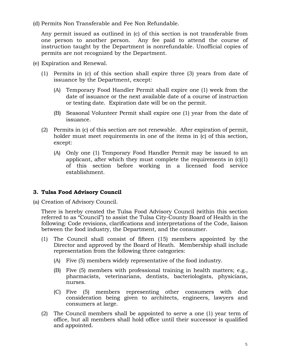(d) Permits Non Transferable and Fee Non Refundable.

 Any permit issued as outlined in (c) of this section is not transferable from one person to another person. Any fee paid to attend the course of instruction taught by the Department is nonrefundable. Unofficial copies of permits are not recognized by the Department.

- (e) Expiration and Renewal.
	- (1) Permits in (c) of this section shall expire three (3) years from date of issuance by the Department, except:
		- (A) Temporary Food Handler Permit shall expire one (1) week from the date of issuance or the next available date of a course of instruction or testing date. Expiration date will be on the permit.
		- (B) Seasonal Volunteer Permit shall expire one (1) year from the date of issuance.
	- (2) Permits in (c) of this section are not renewable. After expiration of permit, holder must meet requirements in one of the items in (c) of this section, except:
		- (A) Only one (1) Temporary Food Handler Permit may be issued to an applicant, after which they must complete the requirements in (c)(1) of this section before working in a licensed food service establishment.

# **3. Tulsa Food Advisory Council**

(a) Creation of Advisory Council.

There is hereby created the Tulsa Food Advisory Council (within this section referred to as "Council") to assist the Tulsa City-County Board of Health in the following: Code revisions, clarifications and interpretations of the Code, liaison between the food industry, the Department, and the consumer.

- (1) The Council shall consist of fifteen (15) members appointed by the Director and approved by the Board of Heath. Membership shall include representation from the following three categories:
	- (A) Five (5) members widely representative of the food industry.
	- (B) Five (5) members with professional training in health matters; e.g., pharmacists, veterinarians, dentists, bacteriologists, physicians, nurses.
	- (C) Five (5) members representing other consumers with due consideration being given to architects, engineers, lawyers and consumers at large.
- (2) The Council members shall be appointed to serve a one (1) year term of office, but all members shall hold office until their successor is qualified and appointed.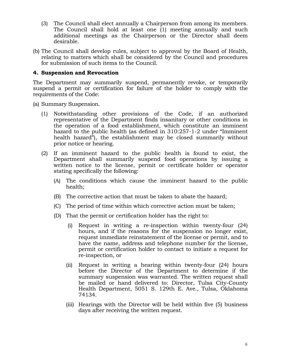- (3) The Council shall elect annually a Chairperson from among its members. The Council shall hold at least one (1) meeting annually and such additional meetings as the Chairperson or the Director shall deem desirable.
- (b) The Council shall develop rules, subject to approval by the Board of Health, relating to matters which shall be considered by the Council and procedures for submission of such items to the Council.

### **4. Suspension and Revocation**

The Department may summarily suspend, permanently revoke, or temporarily suspend a permit or certification for failure of the holder to comply with the requirements of the Code:

- (a) Summary Suspension.
	- (1) Notwithstanding other provisions of the Code, if an authorized representative of the Department finds insanitary or other conditions in the operation of a food establishment, which constitute an imminent hazard to the public health (as defined in 310:257-1-2 under "Imminent health hazard"), the establishment may be closed summarily without prior notice or hearing.
	- (2) If an imminent hazard to the public health is found to exist, the Department shall summarily suspend food operations by issuing a written notice to the license, permit or certificate holder or operator stating specifically the following:
		- (A) The conditions which cause the imminent hazard to the public health;
		- (B) The corrective action that must be taken to abate the hazard;
		- (C) The period of time within which corrective action must be taken;
		- (D) That the permit or certification holder has the right to:
			- (i) Request in writing a re-inspection within twenty-four (24) hours, and if the reasons for the suspension no longer exist, request immediate reinstatement of the license or permit, and to have the name, address and telephone number for the license, permit or certification holder to contact to initiate a request for re-inspection, or
			- (ii) Request in writing a hearing within twenty-four (24) hours before the Director of the Department to determine if the summary suspension was warranted. The written request shall be mailed or hand delivered to: Director, Tulsa City-County Health Department, 5051 S. 129th E. Ave., Tulsa, Oklahoma 74134.
			- (iii) Hearings with the Director will be held within five (5) business days after receiving the written request.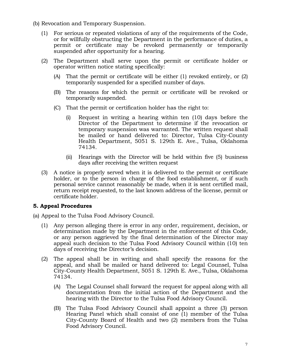- (b) Revocation and Temporary Suspension.
	- (1) For serious or repeated violations of any of the requirements of the Code, or for willfully obstructing the Department in the performance of duties, a permit or certificate may be revoked permanently or temporarily suspended after opportunity for a hearing.
	- (2) The Department shall serve upon the permit or certificate holder or operator written notice stating specifically:
		- (A) That the permit or certificate will be either (1) revoked entirely, or (2) temporarily suspended for a specified number of days.
		- (B) The reasons for which the permit or certificate will be revoked or temporarily suspended.
		- (C) That the permit or certification holder has the right to:
			- (i) Request in writing a hearing within ten (10) days before the Director of the Department to determine if the revocation or temporary suspension was warranted. The written request shall be mailed or hand delivered to: Director, Tulsa City-County Health Department, 5051 S. 129th E. Ave., Tulsa, Oklahoma 74134.
			- (ii) Hearings with the Director will be held within five (5) business days after receiving the written request
	- (3) A notice is properly served when it is delivered to the permit or certificate holder, or to the person in charge of the food establishment, or if such personal service cannot reasonably be made, when it is sent certified mail, return receipt requested, to the last known address of the license, permit or certificate holder.

### **5. Appeal Procedures**

- (a) Appeal to the Tulsa Food Advisory Council.
	- (1) Any person alleging there is error in any order, requirement, decision, or determination made by the Department in the enforcement of this Code, or any person aggrieved by the final determination of the Director may appeal such decision to the Tulsa Food Advisory Council within (10) ten days of receiving the Director's decision.
	- (2) The appeal shall be in writing and shall specify the reasons for the appeal, and shall be mailed or hand delivered to: Legal Counsel, Tulsa City-County Health Department, 5051 S. 129th E. Ave., Tulsa, Oklahoma 74134.
		- (A) The Legal Counsel shall forward the request for appeal along with all documentation from the initial action of the Department and the hearing with the Director to the Tulsa Food Advisory Council.
		- (B) The Tulsa Food Advisory Council shall appoint a three (3) person Hearing Panel which shall consist of one (1) member of the Tulsa City-County Board of Health and two (2) members from the Tulsa Food Advisory Council.